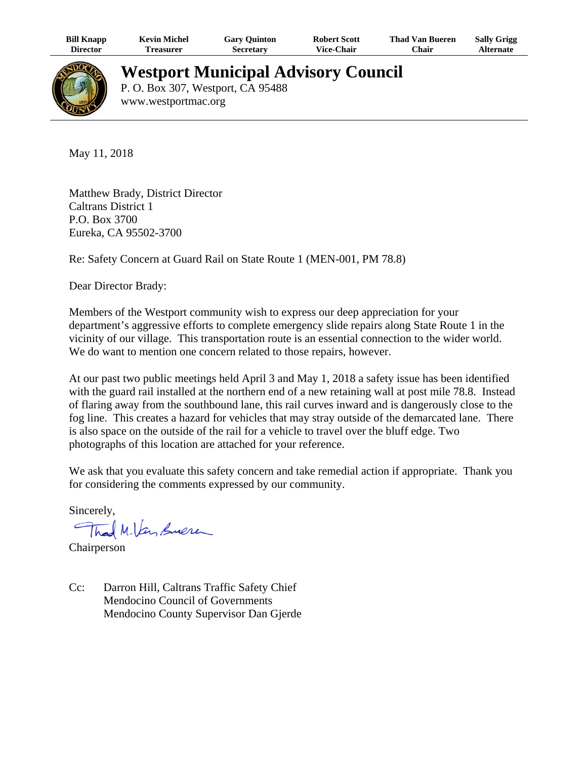| <b>Bill Knapp</b> | <b>Kevin Michel</b> | Gary Quinton     | <b>Robert Scott</b> | <b>Thad Van Bueren</b> | <b>Sally Grigg</b> |
|-------------------|---------------------|------------------|---------------------|------------------------|--------------------|
| Director          | Treasurer           | <b>Secretary</b> | <b>Vice-Chair</b>   | Chair                  | Alternate          |



## **Westport Municipal Advisory Council**

P. O. Box 307, Westport, CA 95488 www.westportmac.org

May 11, 2018

Matthew Brady, District Director Caltrans District 1 P.O. Box 3700 Eureka, CA 95502-3700

Re: Safety Concern at Guard Rail on State Route 1 (MEN-001, PM 78.8)

Dear Director Brady:

Members of the Westport community wish to express our deep appreciation for your department's aggressive efforts to complete emergency slide repairs along State Route 1 in the vicinity of our village. This transportation route is an essential connection to the wider world. We do want to mention one concern related to those repairs, however.

At our past two public meetings held April 3 and May 1, 2018 a safety issue has been identified with the guard rail installed at the northern end of a new retaining wall at post mile 78.8. Instead of flaring away from the southbound lane, this rail curves inward and is dangerously close to the fog line. This creates a hazard for vehicles that may stray outside of the demarcated lane. There is also space on the outside of the rail for a vehicle to travel over the bluff edge. Two photographs of this location are attached for your reference.

We ask that you evaluate this safety concern and take remedial action if appropriate. Thank you for considering the comments expressed by our community.

Sincerely,

Thad M. Van Suere

Chairperson

Cc: Darron Hill, Caltrans Traffic Safety Chief Mendocino Council of Governments Mendocino County Supervisor Dan Gjerde